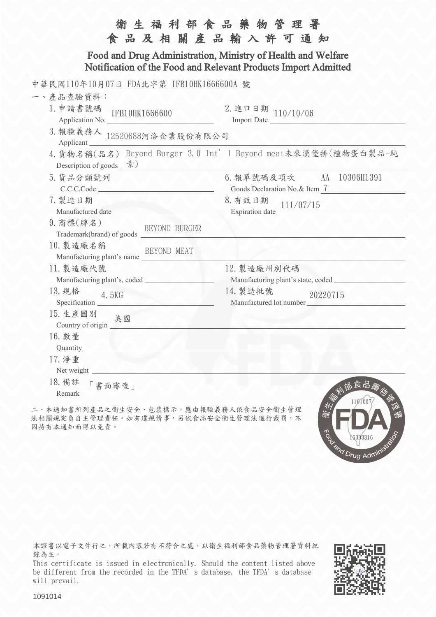| 衛生福利部食品藥物管理署<br>食品及相關產品輸入許可通知                                                                                                  |                                                                |
|--------------------------------------------------------------------------------------------------------------------------------|----------------------------------------------------------------|
| Food and Drug Administration, Ministry of Health and Welfare<br>Notification of the Food and Relevant Products Import Admitted |                                                                |
| 中華民國110年10月07日 FDA北字第 IFB10HK1666600A 號                                                                                        |                                                                |
| 一、產品查驗資料:                                                                                                                      |                                                                |
| 1. 申請書號碼<br>IFB10HK1666600<br>Application No.                                                                                  | 2. 進口日期 110/10/06<br>Import Date                               |
| 3. 報驗義務人 12520688河洛企業股份有限公司<br>Applicant                                                                                       |                                                                |
| Description of goods $\frac{\frac{1}{2}}{\frac{1}{2}}$                                                                         | 4. 貨物名稱(品名) Beyond Burger 3.0 Int' 1 Beyond meat未來漢堡排(植物蛋白製品-純 |
| 5. 貨品分類號列<br>C.C.C.Code                                                                                                        | 6. 報單號碼及項次 AA 10306H1391<br>Goods Declaration No.& Item 7      |
| 7. 製造日期<br>Manufactured date                                                                                                   | 8. 有效日期<br>111/07/15                                           |
| 9. 商標(牌名)                                                                                                                      |                                                                |
| 10. 製造廠名稱<br>BEYOND MEAT<br>Manufacturing plant's name                                                                         |                                                                |
| 11. 製造廠代號                                                                                                                      | 12. 製造廠州別代碼<br>Manufacturing plant's state, coded              |
| 13. 規格<br>4.5KG                                                                                                                | 14. 製造批號<br>20220715<br>Manufactured lot number                |
| 15. 生產國別 美國<br>Country of origin $\sqrt{ }$                                                                                    |                                                                |
| 16. 數量<br>Quantity.                                                                                                            |                                                                |
| 17. 净重<br>Net weight                                                                                                           |                                                                |
| 18. 備註<br>書面審查」<br>Remark                                                                                                      | 恐食品羹<br>1101007                                                |

二、本通知書所列產品之衛生安全、包裝標示,應由報驗義務人依食品安全衛生管理 法相關規定負自主管理責任。如有違規情事,另依食品安全衛生管理法進行裁罰,不 因持有本通知而得以免責。

本證書以電子文件行之,所載內容若有不符合之處,以衛生福利部食品藥物管理署資料紀 錄為主。

This certificate is issued in electronically. Should the content listed above be different from the recorded in the TFDA's database, the TFDA's database will prevail.



To May 16393315

1091014